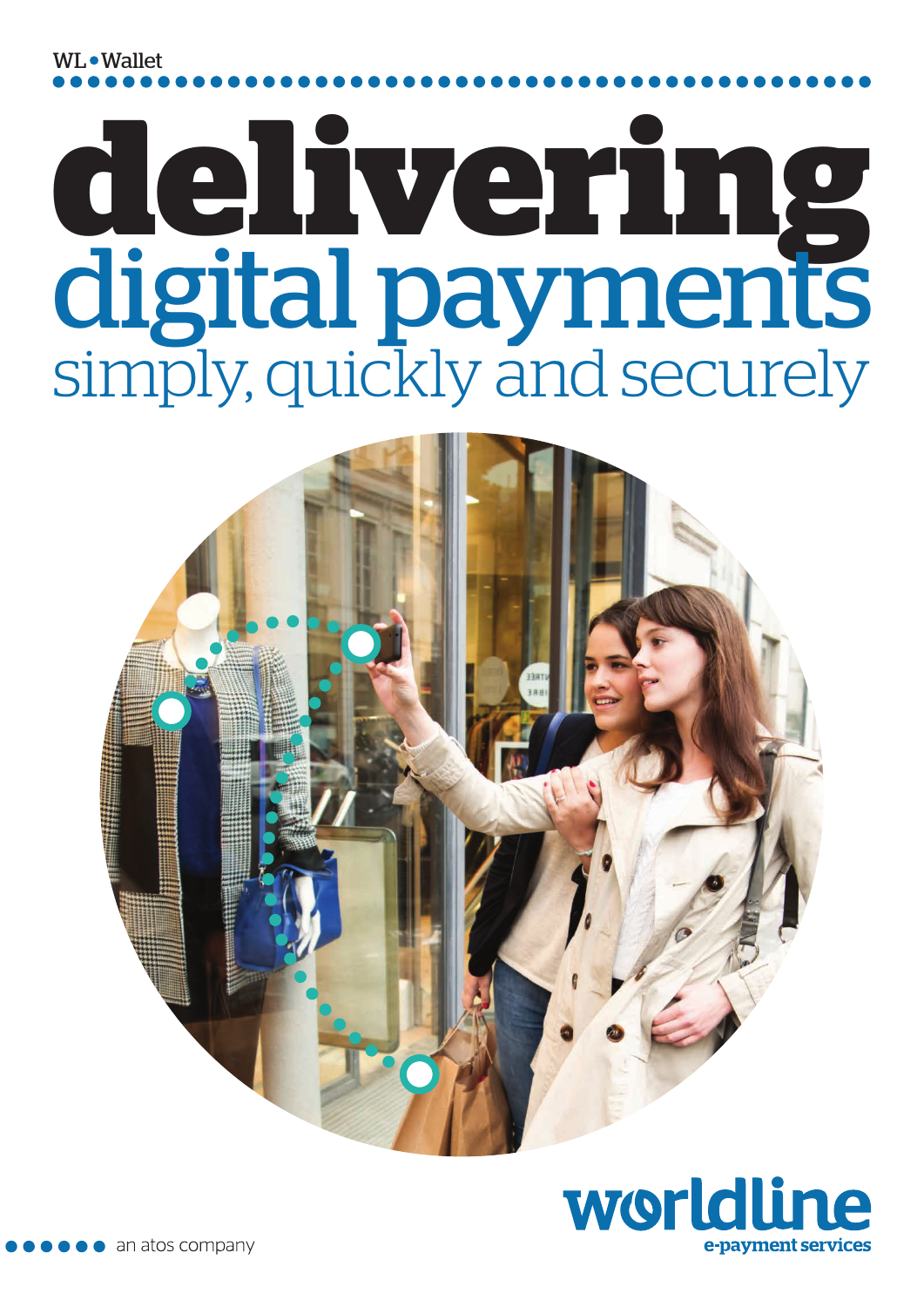WL . Wallet

# **delivering** digital payments simply, quickly and securely





an atos company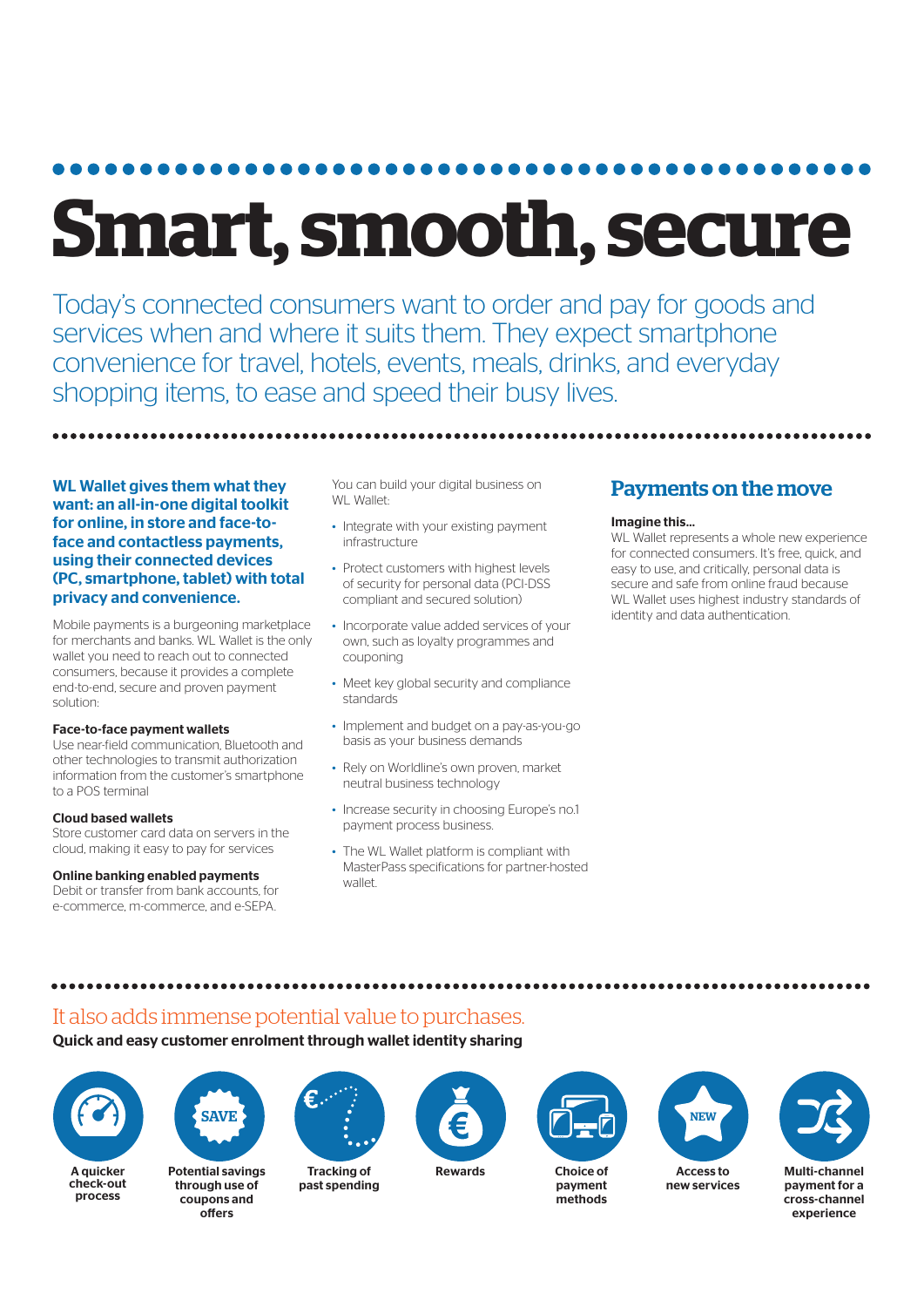# **Smart, smooth, secure**

Today's connected consumers want to order and pay for goods and services when and where it suits them. They expect smartphone convenience for travel, hotels, events, meals, drinks, and everyday shopping items, to ease and speed their busy lives.

WL Wallet gives them what they want: an all-in-one digital toolkit for online, in store and face-toface and contactless payments, using their connected devices (PC, smartphone, tablet) with total privacy and convenience.

Mobile payments is a burgeoning marketplace for merchants and banks. WL Wallet is the only wallet you need to reach out to connected consumers, because it provides a complete end-to-end, secure and proven payment solution:

#### Face-to-face payment wallets

Use near-field communication, Bluetooth and other technologies to transmit authorization information from the customer's smartphone to a POS terminal

#### Cloud based wallets

Store customer card data on servers in the cloud, making it easy to pay for services

#### Online banking enabled payments

Debit or transfer from bank accounts, for e-commerce, m-commerce, and e-SEPA.

You can build your digital business on WL Wallet:

- Integrate with your existing payment infrastructure
- Protect customers with highest levels of security for personal data (PCI-DSS compliant and secured solution)
- Incorporate value added services of your own, such as loyalty programmes and couponing
- Meet key global security and compliance standards
- Implement and budget on a pay-as-you-go basis as your business demands
- Rely on Worldline's own proven, market neutral business technology
- Increase security in choosing Europe's no.1 payment process business.
- The WL Wallet platform is compliant with MasterPass specifications for partner-hosted wallet

#### Payments on the move

#### Imagine this…

WL Wallet represents a whole new experience for connected consumers. It's free, quick, and easy to use, and critically, personal data is secure and safe from online fraud because WL Wallet uses highest industry standards of identity and data authentication.

## It also adds immense potential value to purchases.

#### Quick and easy customer enrolment through wallet identity sharing



A quicker check-out process



Potential savings through use of coupons and offers



Tracking of past spending





Choice of payment methods



Access to new services



Rewards Choice of Access to Multi-channel payment for a cross-channel experience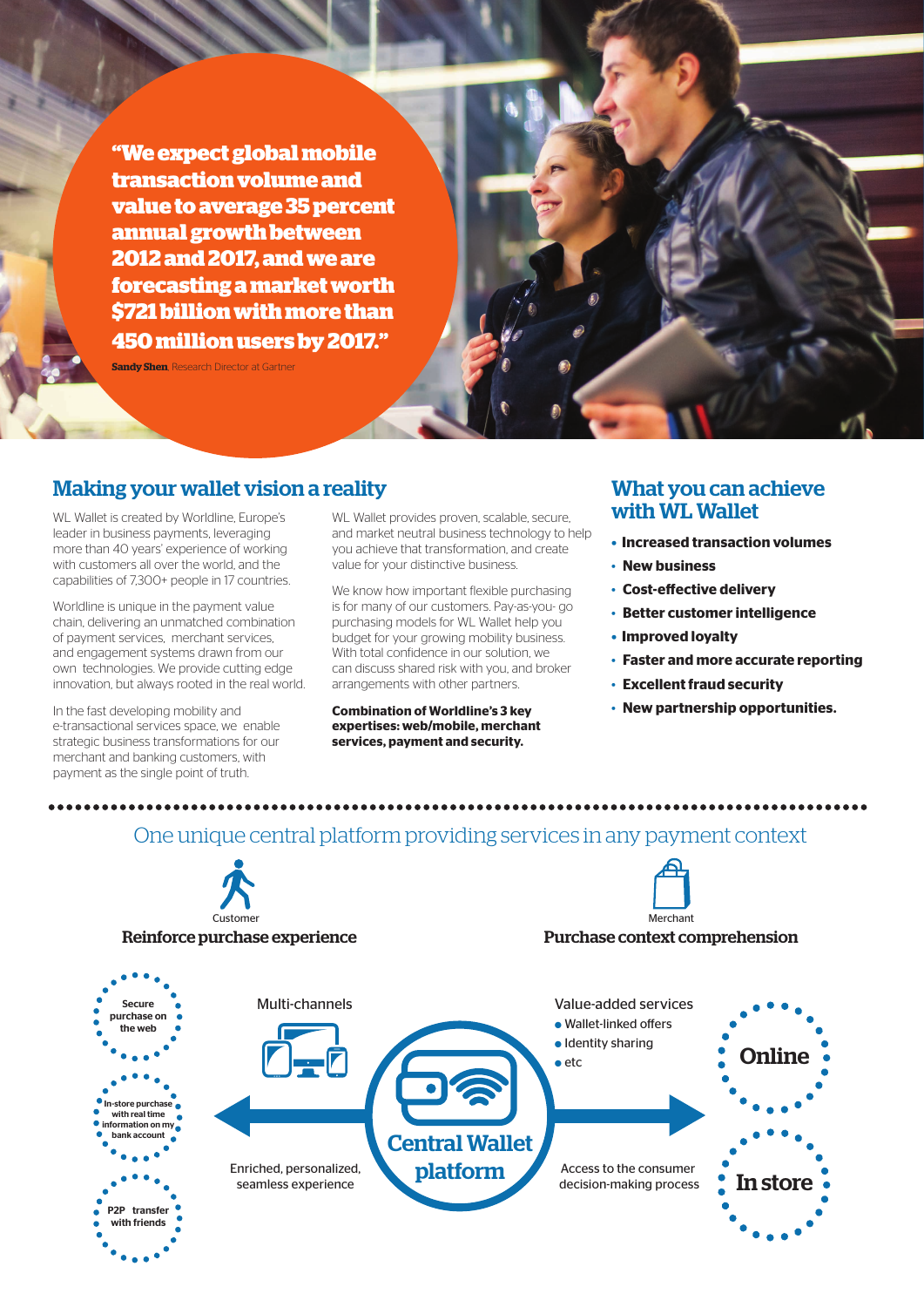**"We expect global mobile transaction volume and value to average 35 percent annual growth between 2012 and 2017, and we are forecasting a market worth \$721 billion with more than 450 million users by 2017."**

**Sandy Shen**, Research Director at Gartner

## Making your wallet vision a reality

WL Wallet is created by Worldline, Europe's leader in business payments, leveraging more than 40 years' experience of working with customers all over the world, and the capabilities of 7,300+ people in 17 countries.

Worldline is unique in the payment value chain, delivering an unmatched combination of payment services, merchant services, and engagement systems drawn from our own technologies. We provide cutting edge innovation, but always rooted in the real world.

In the fast developing mobility and e-transactional services space, we enable strategic business transformations for our merchant and banking customers, with payment as the single point of truth.

WL Wallet provides proven, scalable, secure, and market neutral business technology to help you achieve that transformation, and create value for your distinctive business.

We know how important flexible purchasing is for many of our customers. Pay-as-you- go purchasing models for WL Wallet help you budget for your growing mobility business. With total confidence in our solution, we can discuss shared risk with you, and broker arrangements with other partners.

**Combination of Worldline's 3 key expertises: web/mobile, merchant services, payment and security.**

### What you can achieve with WL Wallet

- **• Increased transaction volumes**
- **New business**
- **Cost-effective delivery**
- **Better customer intelligence**
- **• Improved loyalty**
- **Faster and more accurate reporting**
- **Excellent fraud security**
- **New partnership opportunities.**

# One unique central platform providing services in any payment context